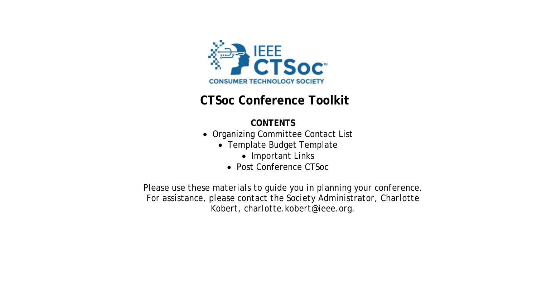

# **CTSoc Conference Toolkit**

# **CONTENTS**

- Organizing Committee Contact List
	- Template Budget Template
		- Important Links
		- Post Conference CTSoc

*Please use these materials to guide you in planning your conference. For assistance, please contact the Society Administrator, Charlotte Kobert, charlotte.kobert@ieee.org.*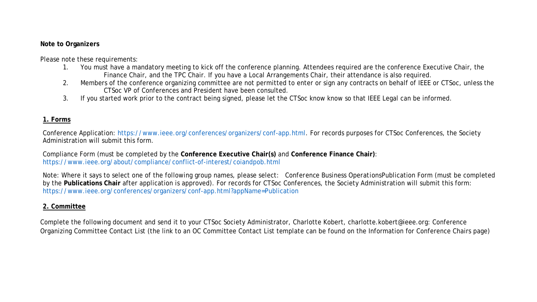#### **Note to Organizers**

Please note these requirements:

- 1. You must have a mandatory meeting to kick off the conference planning. Attendees required are the conference Executive Chair, the Finance Chair, and the TPC Chair. If you have a Local Arrangements Chair, their attendance is also required.
- 2. Members of the conference organizing committee are not permitted to enter or sign any contracts on behalf of IEEE or CTSoc, unless the CTSoc VP of Conferences and President have been consulted.
- 3. If you started work prior to the contract being signed, please let the CTSoc know know so that IEEE Legal can be informed.

### **1. Forms**

Conference Application: [https://www.ieee.org/conferences/organizers/conf-app.html.](https://www.ieee.org/conferences/organizers/conf-app.html) For records purposes for CTSoc Conferences, the Society Administration will submit this form.

Compliance Form (must be completed by the **Conference Executive Chair(s)** and **Conference Finance Chair)**: <https://www.ieee.org/about/compliance/conflict-of-interest/coiandpob.html>

Note: Where it says to select one of the following group names, please select: *Conference Business Operations*Publication Form (must be completed by the **Publications Chair** after application is approved). For records for CTSoc Conferences, the Society Administration will submit this form: <https://www.ieee.org/conferences/organizers/conf-app.html?appName=Publication>

## **2. Committee**

Complete the following document and send it to your CTSoc Society Administrator, Charlotte Kobert, charlotte.kobert@ieee.org: Conference Organizing Committee Contact List (the link to an OC Committee Contact List template can be found on the Information for Conference Chairs page)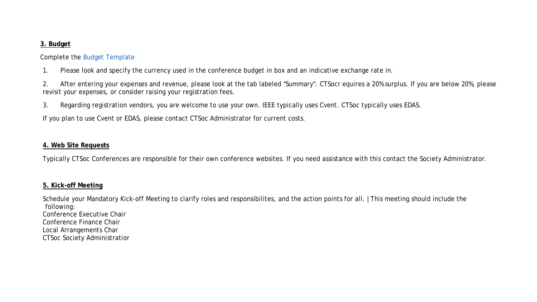#### **3. Budget**

#### Complete the [Budget Template](https://drive.google.com/file/d/1Y1fP83Gm3qO4FQq6kL0RuQvg6G4MnspA/view?usp=sharing)

- 1. Please look and specify the currency used in the conference budget in box and an indicative exchange rate in.
- 2. After entering your expenses and revenue, please look at the tab labeled "Summary". CTSocr equires a 20% surplus. If you are below 20%, please revisit your expenses, or consider raising your registration fees.
- 3. Regarding registration vendors, you are welcome to use your own. IEEE typically uses Cvent. CTSoc typically uses EDAS.

If you plan to use Cvent or EDAS, please contact CTSoc Administrator for current costs.

#### **4. Web Site Requests**

Typically CTSoc Conferences are responsible for their own conference websites. If you need assistance with this contact the Society Administrator.

#### **5. Kick-off Meeting**

Schedule your Mandatory Kick-off Meeting to clarify roles and responsibilites, and the action points for all. |This meeting should include the following: Conference Executive Chair Conference Finance Chair Local Arrangements Char CTSoc Society Administratior